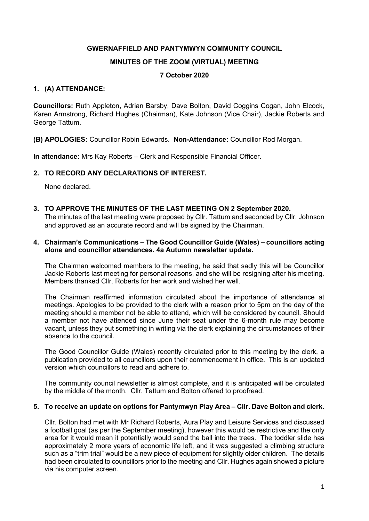## GWERNAFFIELD AND PANTYMWYN COMMUNITY COUNCIL

## MINUTES OF THE ZOOM (VIRTUAL) MEETING

# 7 October 2020

## 1. (A) ATTENDANCE:

Councillors: Ruth Appleton, Adrian Barsby, Dave Bolton, David Coggins Cogan, John Elcock, Karen Armstrong, Richard Hughes (Chairman), Kate Johnson (Vice Chair), Jackie Roberts and George Tattum.

(B) APOLOGIES: Councillor Robin Edwards. Non-Attendance: Councillor Rod Morgan.

In attendance: Mrs Kay Roberts – Clerk and Responsible Financial Officer.

# 2. TO RECORD ANY DECLARATIONS OF INTEREST.

None declared.

3. TO APPROVE THE MINUTES OF THE LAST MEETING ON 2 September 2020.

The minutes of the last meeting were proposed by Cllr. Tattum and seconded by Cllr. Johnson and approved as an accurate record and will be signed by the Chairman.

## 4. Chairman's Communications – The Good Councillor Guide (Wales) – councillors acting alone and councillor attendances. 4a Autumn newsletter update.

The Chairman welcomed members to the meeting, he said that sadly this will be Councillor Jackie Roberts last meeting for personal reasons, and she will be resigning after his meeting. Members thanked Cllr. Roberts for her work and wished her well.

The Chairman reaffirmed information circulated about the importance of attendance at meetings. Apologies to be provided to the clerk with a reason prior to 5pm on the day of the meeting should a member not be able to attend, which will be considered by council. Should a member not have attended since June their seat under the 6-month rule may become vacant, unless they put something in writing via the clerk explaining the circumstances of their absence to the council.

The Good Councillor Guide (Wales) recently circulated prior to this meeting by the clerk, a publication provided to all councillors upon their commencement in office. This is an updated version which councillors to read and adhere to.

The community council newsletter is almost complete, and it is anticipated will be circulated by the middle of the month. Cllr. Tattum and Bolton offered to proofread.

#### 5. To receive an update on options for Pantymwyn Play Area – Cllr. Dave Bolton and clerk.

Cllr. Bolton had met with Mr Richard Roberts, Aura Play and Leisure Services and discussed a football goal (as per the September meeting), however this would be restrictive and the only area for it would mean it potentially would send the ball into the trees. The toddler slide has approximately 2 more years of economic life left, and it was suggested a climbing structure such as a "trim trial" would be a new piece of equipment for slightly older children. The details had been circulated to councillors prior to the meeting and Cllr. Hughes again showed a picture via his computer screen.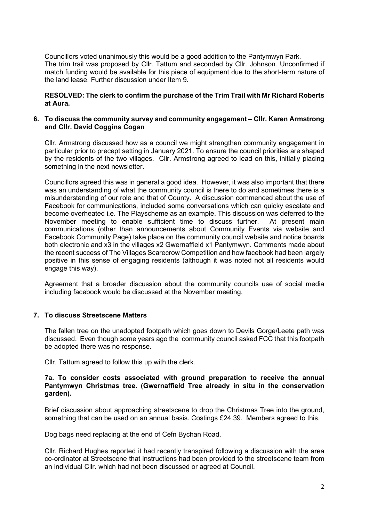Councillors voted unanimously this would be a good addition to the Pantymwyn Park. The trim trail was proposed by Cllr. Tattum and seconded by Cllr. Johnson. Unconfirmed if match funding would be available for this piece of equipment due to the short-term nature of the land lease. Further discussion under Item 9.

RESOLVED: The clerk to confirm the purchase of the Trim Trail with Mr Richard Roberts at Aura.

## 6. To discuss the community survey and community engagement – Cllr. Karen Armstrong and Cllr. David Coggins Cogan

Cllr. Armstrong discussed how as a council we might strengthen community engagement in particular prior to precept setting in January 2021. To ensure the council priorities are shaped by the residents of the two villages. Cllr. Armstrong agreed to lead on this, initially placing something in the next newsletter.

Councillors agreed this was in general a good idea. However, it was also important that there was an understanding of what the community council is there to do and sometimes there is a misunderstanding of our role and that of County. A discussion commenced about the use of Facebook for communications, included some conversations which can quicky escalate and become overheated i.e. The Playscheme as an example. This discussion was deferred to the November meeting to enable sufficient time to discuss further. At present main communications (other than announcements about Community Events via website and Facebook Community Page) take place on the community council website and notice boards both electronic and x3 in the villages x2 Gwernaffield x1 Pantymwyn. Comments made about the recent success of The Villages Scarecrow Competition and how facebook had been largely positive in this sense of engaging residents (although it was noted not all residents would engage this way).

Agreement that a broader discussion about the community councils use of social media including facebook would be discussed at the November meeting.

# 7. To discuss Streetscene Matters

The fallen tree on the unadopted footpath which goes down to Devils Gorge/Leete path was discussed. Even though some years ago the community council asked FCC that this footpath be adopted there was no response.

Cllr. Tattum agreed to follow this up with the clerk.

#### 7a. To consider costs associated with ground preparation to receive the annual Pantymwyn Christmas tree. (Gwernaffield Tree already in situ in the conservation garden).

Brief discussion about approaching streetscene to drop the Christmas Tree into the ground, something that can be used on an annual basis. Costings £24.39. Members agreed to this.

Dog bags need replacing at the end of Cefn Bychan Road.

Cllr. Richard Hughes reported it had recently transpired following a discussion with the area co-ordinator at Streetscene that instructions had been provided to the streetscene team from an individual Cllr. which had not been discussed or agreed at Council.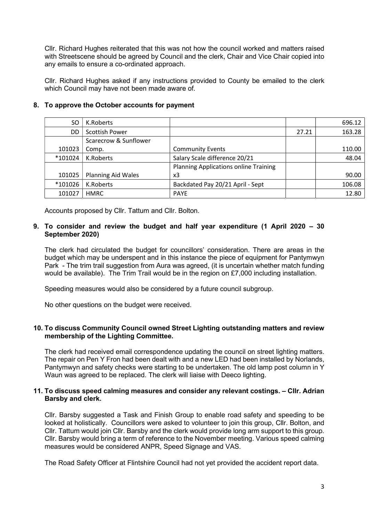Cllr. Richard Hughes reiterated that this was not how the council worked and matters raised with Streetscene should be agreed by Council and the clerk, Chair and Vice Chair copied into any emails to ensure a co-ordinated approach.

Cllr. Richard Hughes asked if any instructions provided to County be emailed to the clerk which Council may have not been made aware of.

| SO      | K.Roberts                 |                                              |       | 696.12 |
|---------|---------------------------|----------------------------------------------|-------|--------|
| DD      | <b>Scottish Power</b>     |                                              | 27.21 | 163.28 |
|         | Scarecrow & Sunflower     |                                              |       |        |
| 101023  | Comp.                     | <b>Community Events</b>                      |       | 110.00 |
| *101024 | K.Roberts                 | Salary Scale difference 20/21                |       | 48.04  |
|         |                           | <b>Planning Applications online Training</b> |       |        |
| 101025  | <b>Planning Aid Wales</b> | x3                                           |       | 90.00  |
| *101026 | K.Roberts                 | Backdated Pay 20/21 April - Sept             |       | 106.08 |
| 101027  | <b>HMRC</b>               | <b>PAYE</b>                                  |       | 12.80  |

# 8. To approve the October accounts for payment

Accounts proposed by Cllr. Tattum and Cllr. Bolton.

# 9. To consider and review the budget and half year expenditure (1 April 2020 – 30 September 2020)

The clerk had circulated the budget for councillors' consideration. There are areas in the budget which may be underspent and in this instance the piece of equipment for Pantymwyn Park - The trim trail suggestion from Aura was agreed, (it is uncertain whether match funding would be available). The Trim Trail would be in the region on £7,000 including installation.

Speeding measures would also be considered by a future council subgroup.

No other questions on the budget were received.

# 10. To discuss Community Council owned Street Lighting outstanding matters and review membership of the Lighting Committee.

The clerk had received email correspondence updating the council on street lighting matters. The repair on Pen Y Fron had been dealt with and a new LED had been installed by Norlands, Pantymwyn and safety checks were starting to be undertaken. The old lamp post column in Y Waun was agreed to be replaced. The clerk will liaise with Deeco lighting.

## 11. To discuss speed calming measures and consider any relevant costings. – Cllr. Adrian Barsby and clerk.

Cllr. Barsby suggested a Task and Finish Group to enable road safety and speeding to be looked at holistically. Councillors were asked to volunteer to join this group, Cllr. Bolton, and Cllr. Tattum would join Cllr. Barsby and the clerk would provide long arm support to this group. Cllr. Barsby would bring a term of reference to the November meeting. Various speed calming measures would be considered ANPR, Speed Signage and VAS.

The Road Safety Officer at Flintshire Council had not yet provided the accident report data.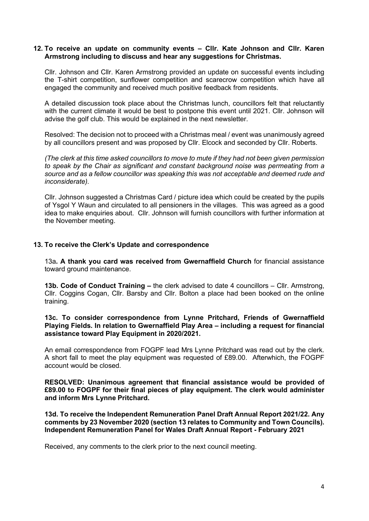### 12. To receive an update on community events – Cllr. Kate Johnson and Cllr. Karen Armstrong including to discuss and hear any suggestions for Christmas.

Cllr. Johnson and Cllr. Karen Armstrong provided an update on successful events including the T-shirt competition, sunflower competition and scarecrow competition which have all engaged the community and received much positive feedback from residents.

A detailed discussion took place about the Christmas lunch, councillors felt that reluctantly with the current climate it would be best to postpone this event until 2021. Cllr. Johnson will advise the golf club. This would be explained in the next newsletter.

Resolved: The decision not to proceed with a Christmas meal / event was unanimously agreed by all councillors present and was proposed by Cllr. Elcock and seconded by Cllr. Roberts.

(The clerk at this time asked councillors to move to mute if they had not been given permission to speak by the Chair as significant and constant background noise was permeating from a source and as a fellow councillor was speaking this was not acceptable and deemed rude and inconsiderate).

Cllr. Johnson suggested a Christmas Card / picture idea which could be created by the pupils of Ysgol Y Waun and circulated to all pensioners in the villages. This was agreed as a good idea to make enquiries about. Cllr. Johnson will furnish councillors with further information at the November meeting.

## 13. To receive the Clerk's Update and correspondence

13a. A thank you card was received from Gwernaffield Church for financial assistance toward ground maintenance.

13b. Code of Conduct Training – the clerk advised to date 4 councillors – Cllr. Armstrong, Cllr. Coggins Cogan, Cllr. Barsby and Cllr. Bolton a place had been booked on the online training.

#### 13c. To consider correspondence from Lynne Pritchard, Friends of Gwernaffield Playing Fields. In relation to Gwernaffield Play Area – including a request for financial assistance toward Play Equipment in 2020/2021.

An email correspondence from FOGPF lead Mrs Lynne Pritchard was read out by the clerk. A short fall to meet the play equipment was requested of £89.00. Afterwhich, the FOGPF account would be closed.

RESOLVED: Unanimous agreement that financial assistance would be provided of £89.00 to FOGPF for their final pieces of play equipment. The clerk would administer and inform Mrs Lynne Pritchard.

13d. To receive the Independent Remuneration Panel Draft Annual Report 2021/22. Any comments by 23 November 2020 (section 13 relates to Community and Town Councils). Independent Remuneration Panel for Wales Draft Annual Report - February 2021

Received, any comments to the clerk prior to the next council meeting.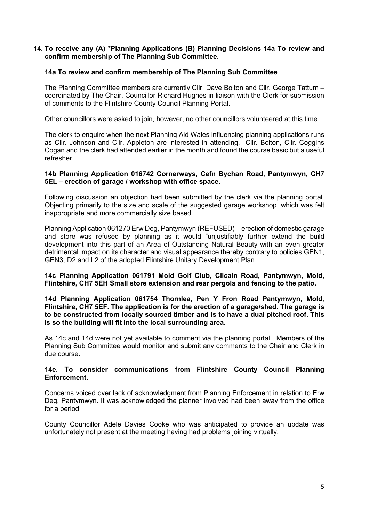## 14. To receive any (A) \*Planning Applications (B) Planning Decisions 14a To review and confirm membership of The Planning Sub Committee.

## 14a To review and confirm membership of The Planning Sub Committee

The Planning Committee members are currently Cllr. Dave Bolton and Cllr. George Tattum – coordinated by The Chair, Councillor Richard Hughes in liaison with the Clerk for submission of comments to the Flintshire County Council Planning Portal.

Other councillors were asked to join, however, no other councillors volunteered at this time.

The clerk to enquire when the next Planning Aid Wales influencing planning applications runs as Cllr. Johnson and Cllr. Appleton are interested in attending. Cllr. Bolton, Cllr. Coggins Cogan and the clerk had attended earlier in the month and found the course basic but a useful refresher.

#### 14b Planning Application 016742 Cornerways, Cefn Bychan Road, Pantymwyn, CH7 5EL – erection of garage / workshop with office space.

Following discussion an objection had been submitted by the clerk via the planning portal. Objecting primarily to the size and scale of the suggested garage workshop, which was felt inappropriate and more commercially size based.

Planning Application 061270 Erw Deg, Pantymwyn (REFUSED) – erection of domestic garage and store was refused by planning as it would "unjustifiably further extend the build development into this part of an Area of Outstanding Natural Beauty with an even greater detrimental impact on its character and visual appearance thereby contrary to policies GEN1, GEN3, D2 and L2 of the adopted Flintshire Unitary Development Plan.

14c Planning Application 061791 Mold Golf Club, Cilcain Road, Pantymwyn, Mold, Flintshire, CH7 5EH Small store extension and rear pergola and fencing to the patio.

#### 14d Planning Application 061754 Thornlea, Pen Y Fron Road Pantymwyn, Mold, Flintshire, CH7 5EF. The application is for the erection of a garage/shed. The garage is to be constructed from locally sourced timber and is to have a dual pitched roof. This is so the building will fit into the local surrounding area.

As 14c and 14d were not yet available to comment via the planning portal. Members of the Planning Sub Committee would monitor and submit any comments to the Chair and Clerk in due course.

#### 14e. To consider communications from Flintshire County Council Planning Enforcement.

Concerns voiced over lack of acknowledgment from Planning Enforcement in relation to Erw Deg, Pantymwyn. It was acknowledged the planner involved had been away from the office for a period.

County Councillor Adele Davies Cooke who was anticipated to provide an update was unfortunately not present at the meeting having had problems joining virtually.